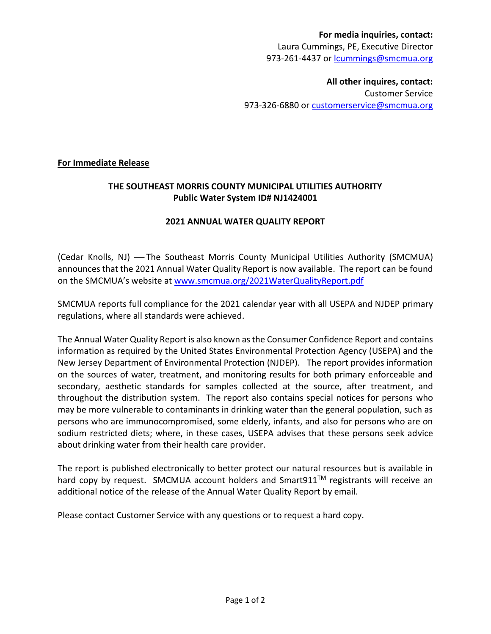## **For media inquiries, contact:** Laura Cummings, PE, Executive Director 973-261-4437 or [lcummings@smcmua.org](mailto:abozza@smcmua.org)

**All other inquires, contact:** Customer Service 973-326-6880 or [customerservice@smcmua.org](mailto:customerservice@smcmua.org)

### **For Immediate Release**

## **THE SOUTHEAST MORRIS COUNTY MUNICIPAL UTILITIES AUTHORITY Public Water System ID# NJ1424001**

### **2021 ANNUAL WATER QUALITY REPORT**

(Cedar Knolls, NJ) – The Southeast Morris County Municipal Utilities Authority (SMCMUA) announces that the 2021 Annual Water Quality Report is now available. The report can be found on the SMCMUA's website at [www.smcmua.org/2021WaterQualityReport.pdf](http://www.smcmua.org/2021WaterQualityReport.pdf)

SMCMUA reports full compliance for the 2021 calendar year with all USEPA and NJDEP primary regulations, where all standards were achieved.

The Annual Water Quality Report is also known as the Consumer Confidence Report and contains information as required by the United States Environmental Protection Agency (USEPA) and the New Jersey Department of Environmental Protection (NJDEP). The report provides information on the sources of water, treatment, and monitoring results for both primary enforceable and secondary, aesthetic standards for samples collected at the source, after treatment, and throughout the distribution system. The report also contains special notices for persons who may be more vulnerable to contaminants in drinking water than the general population, such as persons who are immunocompromised, some elderly, infants, and also for persons who are on sodium restricted diets; where, in these cases, USEPA advises that these persons seek advice about drinking water from their health care provider.

The report is published electronically to better protect our natural resources but is available in hard copy by request. SMCMUA account holders and Smart911™ registrants will receive an additional notice of the release of the Annual Water Quality Report by email.

Please contact Customer Service with any questions or to request a hard copy.